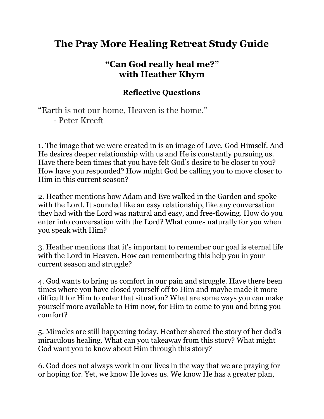## **The Pray More Healing Retreat Study Guide**

## **"Can God really heal me?" with Heather Khym**

## **Reflective Questions**

"Earth is not our home, Heaven is the home." - Peter Kreeft

1. The image that we were created in is an image of Love, God Himself. And He desires deeper relationship with us and He is constantly pursuing us. Have there been times that you have felt God's desire to be closer to you? How have you responded? How might God be calling you to move closer to Him in this current season?

2. Heather mentions how Adam and Eve walked in the Garden and spoke with the Lord. It sounded like an easy relationship, like any conversation they had with the Lord was natural and easy, and free-flowing. How do you enter into conversation with the Lord? What comes naturally for you when you speak with Him?

3. Heather mentions that it's important to remember our goal is eternal life with the Lord in Heaven. How can remembering this help you in your current season and struggle?

4. God wants to bring us comfort in our pain and struggle. Have there been times where you have closed yourself off to Him and maybe made it more difficult for Him to enter that situation? What are some ways you can make yourself more available to Him now, for Him to come to you and bring you comfort?

5. Miracles are still happening today. Heather shared the story of her dad's miraculous healing. What can you takeaway from this story? What might God want you to know about Him through this story?

6. God does not always work in our lives in the way that we are praying for or hoping for. Yet, we know He loves us. We know He has a greater plan,